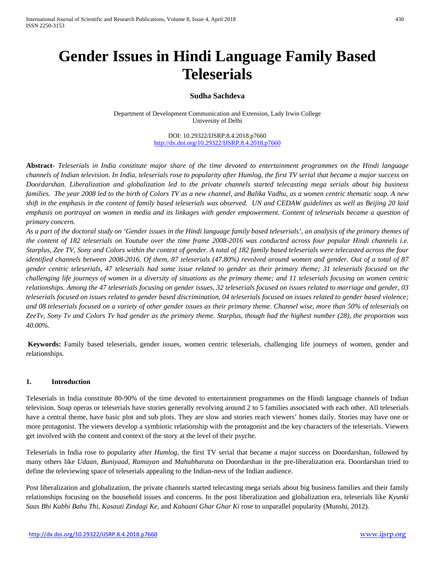# **Gender Issues in Hindi Language Family Based Teleserials**

# **Sudha Sachdeva**

Department of Development Communication and Extension, Lady Irwin College University of Delhi

> DOI: 10.29322/IJSRP.8.4.2018.p7660 <http://dx.doi.org/10.29322/IJSRP.8.4.2018.p7660>

**Abstract-** *Teleserials in India constitute major share of the time devoted to entertainment programmes on the Hindi language channels of Indian television. In India, teleserials rose to popularity after Humlog, the first TV serial that became a major success on Doordarshan. Liberalization and globalization led to the private channels started telecasting mega serials about big business families. The year 2008 led to the birth of Colors TV as a new channel, and Balika Vadhu, as a women centric thematic soap. A new shift in the emphasis in the content of family based teleserials was observed. UN and CEDAW guidelines as well as Beijing 20 laid emphasis on portrayal on women in media and its linkages with gender empowerment. Content of teleserials became a question of primary concern.* 

*As a part of the doctoral study on 'Gender issues in the Hindi language family based teleserials', an analysis of the primary themes of the content of 182 teleserials on Youtube over the time frame 2008-2016 was conducted across four popular Hindi channels i.e. Starplus, Zee TV, Sony and Colors within the context of gender. A total of 182 family based teleserials were telecasted across the four identified channels between 2008-2016. Of them, 87 teleserials (47.80%) revolved around women and gender. Out of a total of 87 gender centric teleserials, 47 teleserials had some issue related to gender as their primary theme; 31 teleserials focused on the challenging life journeys of women in a diversity of situations as the primary theme; and 11 teleserials focusing on women centric relationships. Among the 47 teleserials focusing on gender issues, 32 teleserials focused on issues related to marriage and gender, 03 teleserials focused on issues related to gender based discrimination, 04 teleserials focused on issues related to gender based violence; and 08 teleserials focused on a variety of other gender issues as their primary theme. Channel wise, more than 50% of teleserials on ZeeTv, Sony Tv and Colors Tv had gender as the primary theme. Starplus, though had the highest number (28), the proportion was 40.00%.* 

**Keywords:** Family based teleserials, gender issues, women centric teleserials, challenging life journeys of women, gender and relationships.

#### **1. Introduction**

Teleserials in India constitute 80-90% of the time devoted to entertainment programmes on the Hindi language channels of Indian television. Soap operas or teleserials have stories generally revolving around 2 to 5 families associated with each other. All teleserials have a central theme, have basic plot and sub plots. They are slow and stories reach viewers' homes daily. Stories may have one or more protagonist. The viewers develop a symbiotic relationship with the protagonist and the key characters of the teleserials. Viewers get involved with the content and context of the story at the level of their psyche.

Teleserials in India rose to popularity after *Humlog*, the first TV serial that became a major success on Doordarshan, followed by many others like *Udaan, Buniyaad, Ramayan* and *Mahabharata* on Doordarshan in the pre-liberalization era. Doordarshan tried to define the televiewing space of teleserials appealing to the Indian-ness of the Indian audience.

Post liberalization and globalization, the private channels started telecasting mega serials about big business families and their family relationships focusing on the household issues and concerns. In the post liberalization and globalization era, teleserials like *Kyunki Saas Bhi Kabhi Bahu Thi, Kasauti Zindagi Ke*, and *Kahaani Ghar Ghar Ki* rose to unparallel popularity (Munshi, 2012).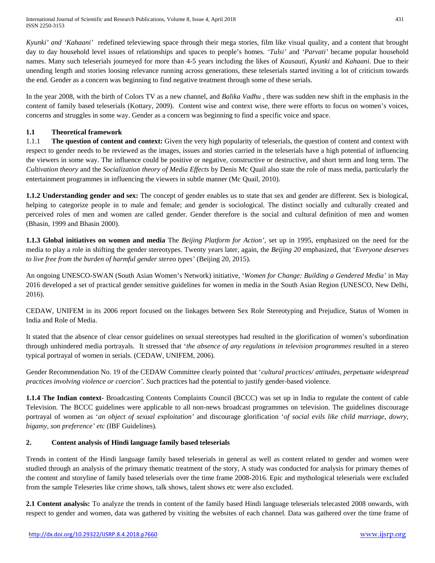*Kyunki' and 'Kahaani'* redefined televiewing space through their mega stories, film like visual quality, and a content that brought day to day household level issues of relationships and spaces to people's homes. *'Tulsi'* and *'Parvati'* became popular household names. Many such teleserials journeyed for more than 4-5 years including the likes of *Kausauti, Kyunki* and *Kahaani*. Due to their unending length and stories loosing relevance running across generations, these teleserials started inviting a lot of criticism towards the end. Gender as a concern was beginning to find negative treatment through some of these serials.

In the year 2008, with the birth of Colors TV as a new channel, and *Balika Vadhu* , there was sudden new shift in the emphasis in the content of family based teleserials (Kottary, 2009). Content wise and context wise, there were efforts to focus on women's voices, concerns and struggles in some way. Gender as a concern was beginning to find a specific voice and space.

# **1.1 Theoretical framework**

1.1.1 **The question of content and context:** Given the very high popularity of teleserials, the question of content and context with respect to gender needs to be reviewed as the images, issues and stories carried in the teleserials have a high potential of influencing the viewers in some way. The influence could be positive or negative, constructive or destructive, and short term and long term. The *Cultivation theory* and the *Socialization theory of Media Effects* by Denis Mc Quail also state the role of mass media, particularly the entertainment programmes in influencing the viewers in subtle manner (Mc Quail, 2010).

**1.1.2 Understanding gender and sex:** The concept of gender enables us to state that sex and gender are different. Sex is biological, helping to categorize people in to male and female; and gender is sociological. The distinct socially and culturally created and perceived roles of men and women are called gender. Gender therefore is the social and cultural definition of men and women (Bhasin, 1999 and Bhasin 2000).

**1.1.3 Global initiatives on women and media** The *Beijing Platform for Action'*, set up in 1995, emphasized on the need for the media to play a role in shifting the gender stereotypes. Twenty years later, again, the *Beijing 20* emphasized, that '*Everyone deserves to live free from the burden of harmful gender stereo types'* (Beijing 20, 2015)*.*

An ongoing UNESCO-SWAN (South Asian Women's Network) initiative, '*Women for Change: Building a Gendered Media'* in May 2016 developed a set of practical gender sensitive guidelines for women in media in the South Asian Region (UNESCO, New Delhi, 2016).

CEDAW, UNIFEM in its 2006 report focused on the linkages between Sex Role Stereotyping and Prejudice, Status of Women in India and Role of Media.

It stated that the absence of clear censor guidelines on sexual stereotypes had resulted in the glorification of women's subordination through unhindered media portrayals. It stressed that '*the absence of any regulations in television programmes* resulted in a stereo typical portrayal of women in serials. (CEDAW, UNIFEM, 2006).

Gender Recommendation No. 19 of the CEDAW Committee clearly pointed that '*cultural practices/ attitudes, perpetuate widespread practices involving violence or coercion'. S*uch practices had the potential to justify gender-based violence.

**1.1.4 The Indian context-** Broadcasting Contents Complaints Council (BCCC) was set up in India to regulate the content of cable Television. The BCCC guidelines were applicable to all non-news broadcast programmes on television. The guidelines discourage portrayal of women as '*an object of sexual exploitation'* and discourage glorification '*of social evils like child marriage, dowry, bigamy, son preference' etc* (IBF Guidelines)*.*

## **2. Content analysis of Hindi language family based teleserials**

Trends in content of the Hindi language family based teleserials in general as well as content related to gender and women were studied through an analysis of the primary thematic treatment of the story, A study was conducted for analysis for primary themes of the content and storyline of family based teleserials over the time frame 2008-2016. Epic and mythological teleserials were excluded from the sample Teleseries like crime shows, talk shows, talent shows etc were also excluded.

**2.1 Content analysis:** To analyze the trends in content of the family based Hindi language teleserials telecasted 2008 onwards, with respect to gender and women, data was gathered by visiting the websites of each channel. Data was gathered over the time frame of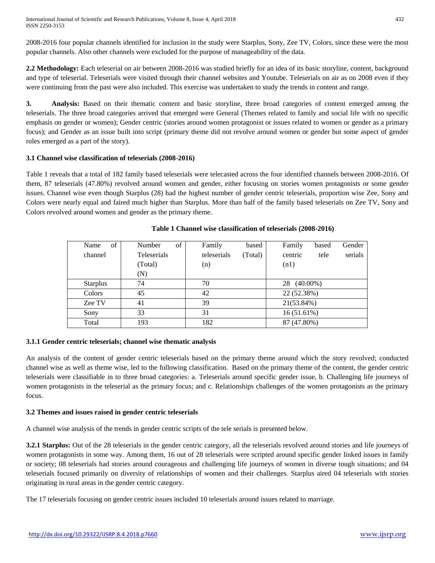International Journal of Scientific and Research Publications, Volume 8, Issue 4, April 2018 432 ISSN 2250-3153

2008-2016 four popular channels identified for inclusion in the study were Starplus, Sony, Zee TV, Colors, since these were the most popular channels. Also other channels were excluded for the purpose of manageability of the data.

**2.2 Methodology:** Each teleserial on air between 2008-2016 was studied briefly for an idea of its basic storyline, content, background and type of teleserial. Teleserials were visited through their channel websites and Youtube. Teleserials on air as on 2008 even if they were continuing from the past were also included. This exercise was undertaken to study the trends in content and range.

**3. Analysis:** Based on their thematic content and basic storyline, three broad categories of content emerged among the teleserials. The three broad categories arrived that emerged were General (Themes related to family and social life with no specific emphasis on gender or women); Gender centric (stories around women protagonist or issues related to women or gender as a primary focus); and Gender as an issue built into script (primary theme did not revolve around women or gender but some aspect of gender roles emerged as a part of the story).

#### **3.1 Channel wise classification of teleserials (2008-2016)**

Table 1 reveals that a total of 182 family based teleserials were telecasted across the four identified channels between 2008-2016. Of them, 87 teleserials (47.80%) revolved around women and gender, either focusing on stories women protagonists or some gender issues. Channel wise even though Starplus (28) had the highest number of gender centric teleserials, proportion wise Zee, Sony and Colors were nearly equal and faired much higher than Starplus. More than half of the family based teleserials on Zee TV, Sony and Colors revolved around women and gender as the primary theme.

| of<br>Name      | of<br>Number | Family<br>based        | Family<br>Gender<br>based  |
|-----------------|--------------|------------------------|----------------------------|
| channel         | Teleserials  | teleserials<br>(Total) | serials<br>centric<br>tele |
|                 | (Total)      | (n)                    | (n1)                       |
|                 | (N)          |                        |                            |
| <b>Starplus</b> | 74           | 70                     | $(40.00\%)$<br>28          |
| Colors          | 45           | 42                     | 22 (52.38%)                |
| Zee TV          | 41           | 39                     | 21(53.84%)                 |
| Sony            | 33           | 31                     | 16(51.61%)                 |
| Total           | 193          | 182                    | 87 (47.80%)                |

#### **Table 1 Channel wise classification of teleserials (2008-2016)**

#### **3.1.1 Gender centric teleserials; channel wise thematic analysis**

An analysis of the content of gender centric teleserials based on the primary theme around which the story revolved; conducted channel wise as well as theme wise, led to the following classification. Based on the primary theme of the content, the gender centric teleserials were classifiable in to three broad categories: a. Teleserials around specific gender issue, b. Challenging life journeys of women protagonists in the teleserial as the primary focus; and c. Relationships challenges of the women protagonists as the primary focus.

#### **3.2 Themes and issues raised in gender centric teleserials**

A channel wise analysis of the trends in gender centric scripts of the tele serials is presented below.

**3.2.1 Starplus:** Out of the 28 teleserials in the gender centric category, all the teleserials revolved around stories and life journeys of women protagonists in some way. Among them, 16 out of 28 teleserials were scripted around specific gender linked issues in family or society; 08 teleserials had stories around courageous and challenging life journeys of women in diverse tough situations; and 04 teleserials focused primarily on diversity of relationships of women and their challenges. Starplus aired 04 teleserials with stories originating in rural areas in the gender centric category.

The 17 teleserials focusing on gender centric issues included 10 teleserials around issues related to marriage.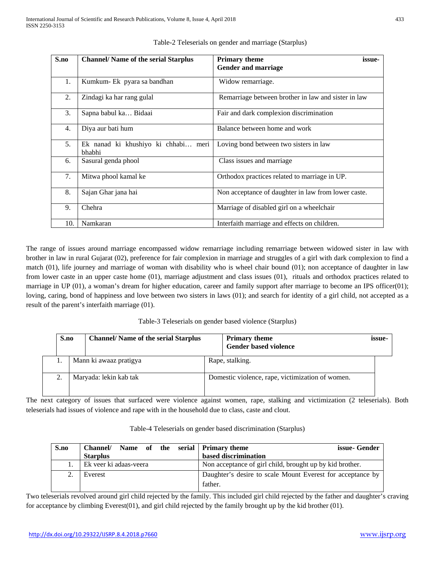| S.no | <b>Channel/ Name of the serial Starplus</b>   | <b>Primary theme</b><br>issue-                      |
|------|-----------------------------------------------|-----------------------------------------------------|
|      |                                               | <b>Gender and marriage</b>                          |
| 1.   | Kumkum- Ek pyara sa bandhan                   | Widow remarriage.                                   |
| 2.   | Zindagi ka har rang gulal                     | Remarriage between brother in law and sister in law |
| 3.   | Sapna babul ka Bidaai                         | Fair and dark complexion discrimination             |
| 4.   | Diya aur bati hum                             | Balance between home and work                       |
| 5.   | Ek nanad ki khushiyo ki chhabi meri<br>bhabhi | Loving bond between two sisters in law              |
| 6.   | Sasural genda phool                           | Class issues and marriage                           |
| 7.   | Mitwa phool kamal ke                          | Orthodox practices related to marriage in UP.       |
| 8.   | Sajan Ghar jana hai                           | Non acceptance of daughter in law from lower caste. |
| 9.   | Chehra                                        | Marriage of disabled girl on a wheelchair           |
| 10.  | Namkaran                                      | Interfaith marriage and effects on children.        |

Table-2 Teleserials on gender and marriage (Starplus)

The range of issues around marriage encompassed widow remarriage including remarriage between widowed sister in law with brother in law in rural Gujarat (02), preference for fair complexion in marriage and struggles of a girl with dark complexion to find a match (01), life journey and marriage of woman with disability who is wheel chair bound (01); non acceptance of daughter in law from lower caste in an upper caste home (01), marriage adjustment and class issues (01), rituals and orthodox practices related to marriage in UP (01), a woman's dream for higher education, career and family support after marriage to become an IPS officer(01); loving, caring, bond of happiness and love between two sisters in laws (01); and search for identity of a girl child, not accepted as a result of the parent's interfaith marriage (01).

Table-3 Teleserials on gender based violence (Starplus)

|  | <b>Channel/ Name of the serial Starplus</b><br>S.no |                        | <b>Primary theme</b><br><b>Gender based violence</b> | issue- |
|--|-----------------------------------------------------|------------------------|------------------------------------------------------|--------|
|  |                                                     | Mann ki awaaz pratigya | Rape, stalking.                                      |        |
|  |                                                     | Maryada: lekin kab tak | Domestic violence, rape, victimization of women.     |        |

The next category of issues that surfaced were violence against women, rape, stalking and victimization (2 teleserials). Both teleserials had issues of violence and rape with in the household due to class, caste and clout.

| S.no | Name of the serial Primary theme<br><b>Channel/</b> | issue- Gender                                              |
|------|-----------------------------------------------------|------------------------------------------------------------|
|      | <b>Starplus</b>                                     | based discrimination                                       |
|      | Ek veer ki adaas-veera                              | Non acceptance of girl child, brought up by kid brother.   |
|      | Everest                                             | Daughter's desire to scale Mount Everest for acceptance by |
|      |                                                     | father.                                                    |

Table-4 Teleserials on gender based discrimination (Starplus)

Two teleserials revolved around girl child rejected by the family. This included girl child rejected by the father and daughter's craving for acceptance by climbing Everest(01), and girl child rejected by the family brought up by the kid brother (01).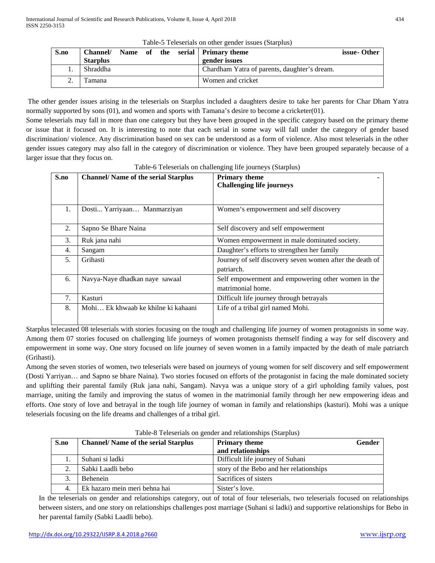| S.no | <b>Channel/</b> |  |  | Name of the serial Primary theme             | issue-Other |
|------|-----------------|--|--|----------------------------------------------|-------------|
|      | <b>Starplus</b> |  |  | gender issues                                |             |
|      | Shraddha        |  |  | Chardham Yatra of parents, daughter's dream. |             |
|      | l'amana         |  |  | Women and cricket                            |             |

The other gender issues arising in the teleserials on Starplus included a daughters desire to take her parents for Char Dham Yatra normally supported by sons (01), and women and sports with Tamana's desire to become a cricketer(01).

Some teleserials may fall in more than one category but they have been grouped in the specific category based on the primary theme or issue that it focused on. It is interesting to note that each serial in some way will fall under the category of gender based discrimination/ violence. Any discrimination based on sex can be understood as a form of violence. Also most teleserials in the other gender issues category may also fall in the category of discrimination or violence. They have been grouped separately because of a larger issue that they focus on.

| S.no | <b>Channel/ Name of the serial Starplus</b> | <b>Primary theme</b><br><b>Challenging life journeys</b>                |
|------|---------------------------------------------|-------------------------------------------------------------------------|
|      |                                             |                                                                         |
| 1.   | Dosti Yarriyaan Manmarziyan                 | Women's empowerment and self discovery                                  |
| 2.   | Sapno Se Bhare Naina                        | Self discovery and self empowerment                                     |
| 3.   | Ruk jana nahi                               | Women empowerment in male dominated society.                            |
| 4.   | Sangam                                      | Daughter's efforts to strengthen her family                             |
| 5.   | Grihasti                                    | Journey of self discovery seven women after the death of<br>patriarch.  |
| 6.   | Navya-Naye dhadkan naye sawaal              | Self empowerment and empowering other women in the<br>matrimonial home. |
| 7.   | Kasturi                                     | Difficult life journey through betrayals                                |
| 8.   | Mohi Ek khwaab ke khilne ki kahaani         | Life of a tribal girl named Mohi.                                       |

Table-6 Teleserials on challenging life journeys (Starplus)

Starplus telecasted 08 teleserials with stories focusing on the tough and challenging life journey of women protagonists in some way. Among them 07 stories focused on challenging life journeys of women protagonists themself finding a way for self discovery and empowerment in some way. One story focused on life journey of seven women in a family impacted by the death of male patriarch (Grihasti).

Among the seven stories of women, two teleserials were based on journeys of young women for self discovery and self empowerment (Dosti Yarriyan… and Sapno se bhare Naina). Two stories focused on efforts of the protagonist in facing the male dominated society and uplifting their parental family (Ruk jana nahi, Sangam). Navya was a unique story of a girl upholding family values, post marriage, uniting the family and improving the status of women in the matrimonial family through her new empowering ideas and efforts. One story of love and betrayal in the tough life journey of woman in family and relationships (kasturi). Mohi was a unique teleserials focusing on the life dreams and challenges of a tribal girl.

| S.no | <b>Channel/ Name of the serial Starplus</b> | <b>Primary theme</b>                    | <b>Gender</b> |  |  |
|------|---------------------------------------------|-----------------------------------------|---------------|--|--|
|      |                                             | and relationships                       |               |  |  |
|      | Suhani si ladki                             | Difficult life journey of Suhani        |               |  |  |
|      | Sabki Laadli bebo                           | story of the Bebo and her relationships |               |  |  |
| 3.   | <b>Behenein</b>                             | Sacrifices of sisters                   |               |  |  |
| 4.   | Ek hazaro mein meri behna hai               | Sister's love.                          |               |  |  |

Table-8 Teleserials on gender and relationships (Starplus)

In the teleserials on gender and relationships category, out of total of four teleserials, two teleserials focused on relationships between sisters, and one story on relationships challenges post marriage (Suhani si ladki) and supportive relationships for Bebo in her parental family (Sabki Laadli bebo).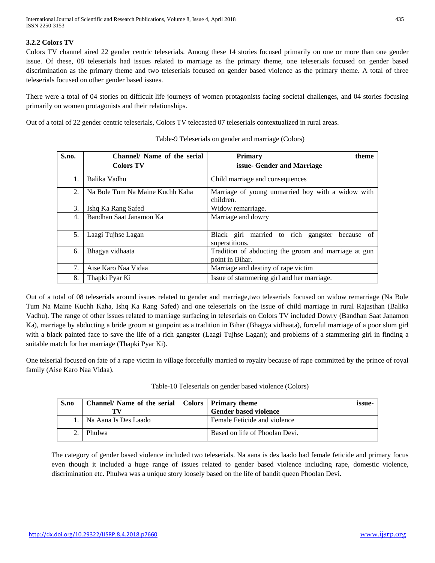# **3.2.2 Colors TV**

Colors TV channel aired 22 gender centric teleserials. Among these 14 stories focused primarily on one or more than one gender issue. Of these, 08 teleserials had issues related to marriage as the primary theme, one teleserials focused on gender based discrimination as the primary theme and two teleserials focused on gender based violence as the primary theme. A total of three teleserials focused on other gender based issues.

There were a total of 04 stories on difficult life journeys of women protagonists facing societal challenges, and 04 stories focusing primarily on women protagonists and their relationships.

Out of a total of 22 gender centric teleserials, Colors TV telecasted 07 teleserials contextualized in rural areas.

| S.no. | Channel/ Name of the serial     | <b>Primary</b><br>theme                                                 |
|-------|---------------------------------|-------------------------------------------------------------------------|
|       | <b>Colors TV</b>                | issue- Gender and Marriage                                              |
| 1.    | Balika Vadhu                    | Child marriage and consequences                                         |
| 2.    | Na Bole Tum Na Maine Kuchh Kaha | Marriage of young unmarried boy with a widow with<br>children.          |
| 3.    | Ishq Ka Rang Safed              | Widow remarriage.                                                       |
| 4.    | Bandhan Saat Janamon Ka         | Marriage and dowry                                                      |
| 5.    | Laagi Tujhse Lagan              | Black girl married to rich gangster<br>because of<br>superstitions.     |
| 6.    | Bhagya vidhaata                 | Tradition of abducting the groom and marriage at gun<br>point in Bihar. |
| 7.    | Aise Karo Naa Vidaa             | Marriage and destiny of rape victim                                     |
| 8.    | Thapki Pyar Ki                  | Issue of stammering girl and her marriage.                              |

|  |  | Table-9 Teleserials on gender and marriage (Colors) |
|--|--|-----------------------------------------------------|
|--|--|-----------------------------------------------------|

Out of a total of 08 teleserials around issues related to gender and marriage,two teleserials focused on widow remarriage (Na Bole Tum Na Maine Kuchh Kaha, Ishq Ka Rang Safed) and one teleserials on the issue of child marriage in rural Rajasthan (Balika Vadhu). The range of other issues related to marriage surfacing in teleserials on Colors TV included Dowry (Bandhan Saat Janamon Ka), marriage by abducting a bride groom at gunpoint as a tradition in Bihar (Bhagya vidhaata), forceful marriage of a poor slum girl with a black painted face to save the life of a rich gangster (Laagi Tujhse Lagan); and problems of a stammering girl in finding a suitable match for her marriage (Thapki Pyar Ki).

One telserial focused on fate of a rape victim in village forcefully married to royalty because of rape committed by the prince of royal family (Aise Karo Naa Vidaa).

| Table-10 Teleserials on gender based violence (Colors) |  |
|--------------------------------------------------------|--|
|                                                        |  |
|                                                        |  |
|                                                        |  |

| S.no | Channel/Name of the serial Colors   Primary theme | issue-<br><b>Gender based violence</b> |
|------|---------------------------------------------------|----------------------------------------|
|      | Na Aana Is Des Laado                              | Female Feticide and violence           |
|      | Phulwa                                            | Based on life of Phoolan Devi.         |

The category of gender based violence included two teleserials. Na aana is des laado had female feticide and primary focus even though it included a huge range of issues related to gender based violence including rape, domestic violence, discrimination etc. Phulwa was a unique story loosely based on the life of bandit queen Phoolan Devi.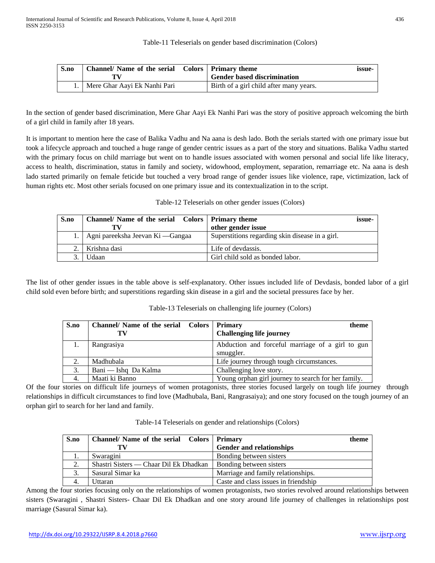Table-11 Teleserials on gender based discrimination (Colors)

| S.no | Channel/ Name of the serial Colors   Primary theme | <b>Gender based discrimination</b>      | <b>issue-</b> |
|------|----------------------------------------------------|-----------------------------------------|---------------|
|      | Mere Ghar Aayi Ek Nanhi Pari                       | Birth of a girl child after many years. |               |

In the section of gender based discrimination, Mere Ghar Aayi Ek Nanhi Pari was the story of positive approach welcoming the birth of a girl child in family after 18 years.

It is important to mention here the case of Balika Vadhu and Na aana is desh lado. Both the serials started with one primary issue but took a lifecycle approach and touched a huge range of gender centric issues as a part of the story and situations. Balika Vadhu started with the primary focus on child marriage but went on to handle issues associated with women personal and social life like literacy, access to health, discrimination, status in family and society, widowhood, employment, separation, remarriage etc. Na aana is desh lado started primarily on female feticide but touched a very broad range of gender issues like violence, rape, victimization, lack of human rights etc. Most other serials focused on one primary issue and its contextualization in to the script.

| Table-12 Teleserials on other gender issues (Colors) |  |
|------------------------------------------------------|--|
|------------------------------------------------------|--|

| S.no | Channel/ Name of the serial Colors   Primary theme |                                                 | issue- |
|------|----------------------------------------------------|-------------------------------------------------|--------|
|      |                                                    | other gender issue                              |        |
|      | 1.   Agni pareeksha Jeevan Ki — Gangaa             | Superstitions regarding skin disease in a girl. |        |
|      | Krishna dasi                                       | Life of devdassis.                              |        |
|      | Jdaan                                              | Girl child sold as bonded labor.                |        |

The list of other gender issues in the table above is self-explanatory. Other issues included life of Devdasis, bonded labor of a girl child sold even before birth; and superstitions regarding skin disease in a girl and the societal pressures face by her.

| S.no | Channel/ Name of the serial Colors   Primary<br>TV | theme<br><b>Challenging life journey</b>                      |
|------|----------------------------------------------------|---------------------------------------------------------------|
|      | Rangrasiya                                         | Abduction and forceful marriage of a girl to gun<br>smuggler. |
|      | Madhubala                                          | Life journey through tough circumstances.                     |
| 3.   | Bani — Ishq Da Kalma                               | Challenging love story.                                       |
|      | Maati ki Banno                                     | Young orphan girl journey to search for her family.           |

Of the four stories on difficult life journeys of women protagonists, three stories focused largely on tough life journey through relationships in difficult circumstances to find love (Madhubala, Bani, Rangrasaiya); and one story focused on the tough journey of an orphan girl to search for her land and family.

| Table-14 Teleserials on gender and relationships (Colors) |  |  |  |
|-----------------------------------------------------------|--|--|--|
|-----------------------------------------------------------|--|--|--|

| S.no | Channel/ Name of the serial Colors   Primary | theme                                |
|------|----------------------------------------------|--------------------------------------|
|      |                                              | <b>Gender and relationships</b>      |
|      | Swaragini                                    | Bonding between sisters              |
| 2.   | Shastri Sisters — Chaar Dil Ek Dhadkan       | Bonding between sisters              |
|      | Sasural Simar ka                             | Marriage and family relationships.   |
|      | Uttaran                                      | Caste and class issues in friendship |

Among the four stories focusing only on the relationships of women protagonists, two stories revolved around relationships between sisters (Swaragini , Shastri Sisters- Chaar Dil Ek Dhadkan and one story around life journey of challenges in relationships post marriage (Sasural Simar ka).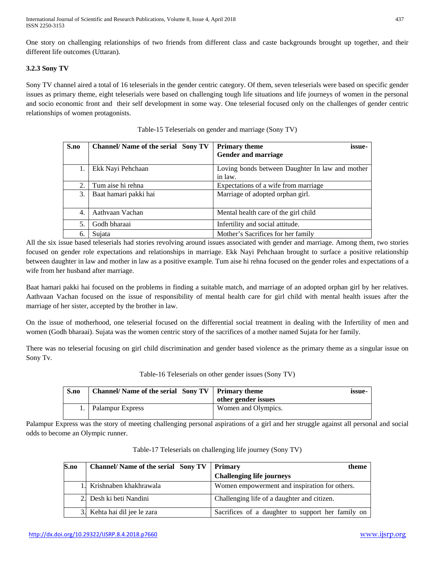One story on challenging relationships of two friends from different class and caste backgrounds brought up together, and their different life outcomes (Uttaran).

# **3.2.3 Sony TV**

Sony TV channel aired a total of 16 teleserials in the gender centric category. Of them, seven teleserials were based on specific gender issues as primary theme, eight teleserials were based on challenging tough life situations and life journeys of women in the personal and socio economic front and their self development in some way. One teleserial focused only on the challenges of gender centric relationships of women protagonists.

| S.no | <b>Channel/ Name of the serial Sony TV</b> | <b>Primary theme</b><br>issue-                  |
|------|--------------------------------------------|-------------------------------------------------|
|      |                                            | <b>Gender and marriage</b>                      |
| 1.   | Ekk Nayi Pehchaan                          | Loving bonds between Daughter In law and mother |
|      |                                            | in law.                                         |
| 2.   | Tum aise hi rehna                          | Expectations of a wife from marriage            |
| 3.   | Baat hamari pakki hai                      | Marriage of adopted orphan girl.                |
|      |                                            |                                                 |
| 4.   | Aathvaan Vachan                            | Mental health care of the girl child            |
| 5.   | Godh bharaai                               | Infertility and social attitude.                |
| 6.   | Sujata                                     | Mother's Sacrifices for her family              |

Table-15 Teleserials on gender and marriage (Sony TV)

All the six issue based teleserials had stories revolving around issues associated with gender and marriage. Among them, two stories focused on gender role expectations and relationships in marriage. Ekk Nayi Pehchaan brought to surface a positive relationship between daughter in law and mother in law as a positive example. Tum aise hi rehna focused on the gender roles and expectations of a wife from her husband after marriage.

Baat hamari pakki hai focused on the problems in finding a suitable match, and marriage of an adopted orphan girl by her relatives. Aathvaan Vachan focused on the issue of responsibility of mental health care for girl child with mental health issues after the marriage of her sister, accepted by the brother in law.

On the issue of motherhood, one teleserial focused on the differential social treatment in dealing with the Infertility of men and women (Godh bharaai). Sujata was the women centric story of the sacrifices of a mother named Sujata for her family.

There was no teleserial focusing on girl child discrimination and gender based violence as the primary theme as a singular issue on Sony Tv.

#### Table-16 Teleserials on other gender issues (Sony TV)

| S.no | Channel/Name of the serial Sony TV   Primary theme | other gender issues | issue- |
|------|----------------------------------------------------|---------------------|--------|
|      | Palampur Express                                   | Women and Olympics. |        |

Palampur Express was the story of meeting challenging personal aspirations of a girl and her struggle against all personal and social odds to become an Olympic runner.

| S.no | <b>Channel/ Name of the serial Sony TV</b> | <b>Primary</b><br>theme                           |
|------|--------------------------------------------|---------------------------------------------------|
|      |                                            | <b>Challenging life journeys</b>                  |
|      | 1. Krishnaben khakhrawala                  | Women empowerment and inspiration for others.     |
|      | 2. Desh ki beti Nandini                    | Challenging life of a daughter and citizen.       |
|      | 3. Kehta hai dil jee le zara               | Sacrifices of a daughter to support her family on |

Table-17 Teleserials on challenging life journey (Sony TV)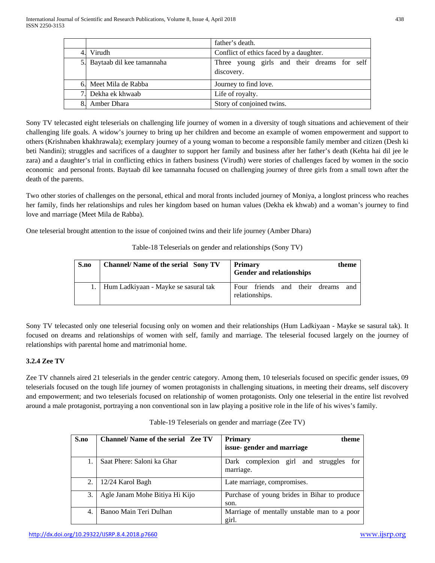|    |                              | father's death.                                           |
|----|------------------------------|-----------------------------------------------------------|
| 4. | Virudh                       | Conflict of ethics faced by a daughter.                   |
|    | 5. Baytaab dil kee tamannaha | Three young girls and their dreams for self<br>discovery. |
|    | 6. Meet Mila de Rabba        | Journey to find love.                                     |
|    | 7. Dekha ek khwaab           | Life of royalty.                                          |
| 8. | Amber Dhara                  | Story of conjoined twins.                                 |

Sony TV telecasted eight teleserials on challenging life journey of women in a diversity of tough situations and achievement of their challenging life goals. A widow's journey to bring up her children and become an example of women empowerment and support to others (Krishnaben khakhrawala); exemplary journey of a young woman to become a responsible family member and citizen (Desh ki beti Nandini); struggles and sacrifices of a daughter to support her family and business after her father's death (Kehta hai dil jee le zara) and a daughter's trial in conflicting ethics in fathers business (Virudh) were stories of challenges faced by women in the socio economic and personal fronts. Baytaab dil kee tamannaha focused on challenging journey of three girls from a small town after the death of the parents.

Two other stories of challenges on the personal, ethical and moral fronts included journey of Moniya, a longlost princess who reaches her family, finds her relationships and rules her kingdom based on human values (Dekha ek khwab) and a woman's journey to find love and marriage (Meet Mila de Rabba).

One teleserial brought attention to the issue of conjoined twins and their life journey (Amber Dhara)

| S.no | <b>Channel/ Name of the serial Sony TV</b> | <b>Primary</b><br>theme<br><b>Gender and relationships</b>   |  |
|------|--------------------------------------------|--------------------------------------------------------------|--|
|      | Hum Ladkiyaan - Mayke se sasural tak       | friends and their<br>dreams<br>Four<br>and<br>relationships. |  |

Table-18 Teleserials on gender and relationships (Sony TV)

Sony TV telecasted only one teleserial focusing only on women and their relationships (Hum Ladkiyaan - Mayke se sasural tak). It focused on dreams and relationships of women with self, family and marriage. The teleserial focused largely on the journey of relationships with parental home and matrimonial home.

## **3.2.4 Zee TV**

Zee TV channels aired 21 teleserials in the gender centric category. Among them, 10 teleserials focused on specific gender issues, 09 teleserials focused on the tough life journey of women protagonists in challenging situations, in meeting their dreams, self discovery and empowerment; and two teleserials focused on relationship of women protagonists. Only one teleserial in the entire list revolved around a male protagonist, portraying a non conventional son in law playing a positive role in the life of his wives's family.

## Table-19 Teleserials on gender and marriage (Zee TV)

| S.no | <b>Channel/ Name of the serial Zee TV</b> | <b>Primary</b><br>theme                                   |  |  |  |  |  |
|------|-------------------------------------------|-----------------------------------------------------------|--|--|--|--|--|
|      |                                           | issue-gender and marriage                                 |  |  |  |  |  |
|      | Saat Phere: Saloni ka Ghar                | Dark complexion girl and<br>struggles<br>for<br>marriage. |  |  |  |  |  |
| 2.   | 12/24 Karol Bagh                          | Late marriage, compromises.                               |  |  |  |  |  |
| 3.   | Agle Janam Mohe Bitiya Hi Kijo            | Purchase of young brides in Bihar to produce<br>son.      |  |  |  |  |  |
| 4.   | Banoo Main Teri Dulhan                    | Marriage of mentally unstable man to a poor<br>girl.      |  |  |  |  |  |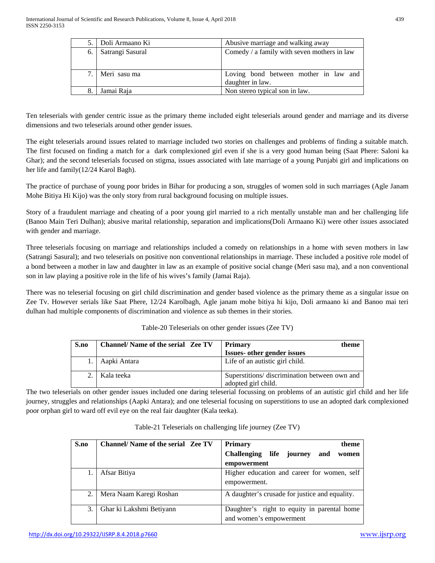|    | 5. Doli Armaano Ki | Abusive marriage and walking away                         |  |  |  |  |  |  |
|----|--------------------|-----------------------------------------------------------|--|--|--|--|--|--|
| 6. | Satrangi Sasural   | Comedy / a family with seven mothers in law               |  |  |  |  |  |  |
|    | 7. Meri sasu ma    | Loving bond between mother in law and<br>daughter in law. |  |  |  |  |  |  |
| 8. | Jamai Raja         | Non stereo typical son in law.                            |  |  |  |  |  |  |

Ten teleserials with gender centric issue as the primary theme included eight teleserials around gender and marriage and its diverse dimensions and two teleserials around other gender issues.

The eight teleserials around issues related to marriage included two stories on challenges and problems of finding a suitable match. The first focused on finding a match for a dark complexioned girl even if she is a very good human being (Saat Phere: Saloni ka Ghar); and the second teleserials focused on stigma, issues associated with late marriage of a young Punjabi girl and implications on her life and family(12/24 Karol Bagh).

The practice of purchase of young poor brides in Bihar for producing a son, struggles of women sold in such marriages (Agle Janam Mohe Bitiya Hi Kijo) was the only story from rural background focusing on multiple issues.

Story of a fraudulent marriage and cheating of a poor young girl married to a rich mentally unstable man and her challenging life (Banoo Main Teri Dulhan); abusive marital relationship, separation and implications(Doli Armaano Ki) were other issues associated with gender and marriage.

Three teleserials focusing on marriage and relationships included a comedy on relationships in a home with seven mothers in law (Satrangi Sasural); and two teleserials on positive non conventional relationships in marriage. These included a positive role model of a bond between a mother in law and daughter in law as an example of positive social change (Meri sasu ma), and a non conventional son in law playing a positive role in the life of his wives's family (Jamai Raja).

There was no teleserial focusing on girl child discrimination and gender based violence as the primary theme as a singular issue on Zee Tv. However serials like Saat Phere, 12/24 Karolbagh, Agle janam mohe bitiya hi kijo, Doli armaano ki and Banoo mai teri dulhan had multiple components of discrimination and violence as sub themes in their stories.

| S.no | <b>Channel/ Name of the serial Zee TV</b> | <b>Primary</b><br>theme<br><b>Issues- other gender issues</b>        |
|------|-------------------------------------------|----------------------------------------------------------------------|
|      | Aapki Antara                              | Life of an autistic girl child.                                      |
|      | Kala teeka                                | Superstitions/ discrimination between own and<br>adopted girl child. |

Table-20 Teleserials on other gender issues (Zee TV)

The two teleserials on other gender issues included one daring teleserial focussing on problems of an autistic girl child and her life journey, struggles and relationships (Aapki Antara); and one teleserial focusing on superstitions to use an adopted dark complexioned poor orphan girl to ward off evil eye on the real fair daughter (Kala teeka).

| S.no | <b>Channel/ Name of the serial Zee TV</b> | <b>Primary</b><br>theme                            |  |  |  |  |  |
|------|-------------------------------------------|----------------------------------------------------|--|--|--|--|--|
|      |                                           | life journey<br><b>Challenging</b><br>and<br>women |  |  |  |  |  |
|      |                                           | empowerment                                        |  |  |  |  |  |
|      | Afsar Bitiya                              | Higher education and career for women, self        |  |  |  |  |  |
|      |                                           | empowerment.                                       |  |  |  |  |  |
| 2.   | Mera Naam Karegi Roshan                   | A daughter's crusade for justice and equality.     |  |  |  |  |  |
| 3.   | Ghar ki Lakshmi Betiyann                  | Daughter's right to equity in parental home        |  |  |  |  |  |
|      |                                           | and women's empowerment                            |  |  |  |  |  |

Table-21 Teleserials on challenging life journey (Zee TV)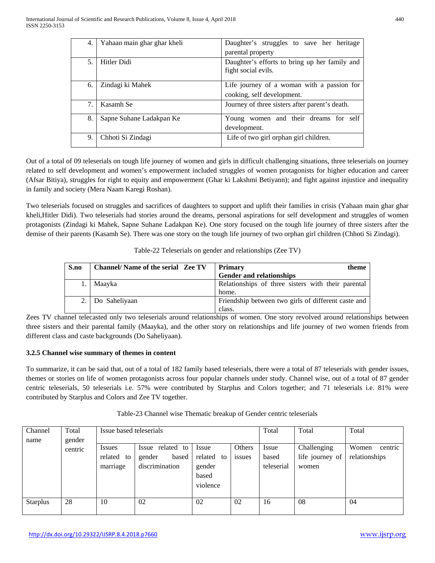| 4.  | Yahaan main ghar ghar kheli | Daughter's struggles to save her heritage                            |  |  |  |  |  |  |  |
|-----|-----------------------------|----------------------------------------------------------------------|--|--|--|--|--|--|--|
|     |                             | parental property                                                    |  |  |  |  |  |  |  |
| .5. | Hitler Didi                 | Daughter's efforts to bring up her family and<br>fight social evils. |  |  |  |  |  |  |  |
| 6.  | Zindagi ki Mahek            | Life journey of a woman with a passion for                           |  |  |  |  |  |  |  |
|     |                             | cooking, self development.                                           |  |  |  |  |  |  |  |
| 7.  | Kasamh Se                   | Journey of three sisters after parent's death.                       |  |  |  |  |  |  |  |
| 8.  | Sapne Suhane Ladakpan Ke    | Young women and their dreams for self                                |  |  |  |  |  |  |  |
|     |                             | development.                                                         |  |  |  |  |  |  |  |
| 9.  | Chhoti Si Zindagi           | Life of two girl orphan girl children.                               |  |  |  |  |  |  |  |

Out of a total of 09 teleserials on tough life journey of women and girls in difficult challenging situations, three teleserials on journey related to self development and women's empowerment included struggles of women protagonists for higher education and career (Afsar Bitiya), struggles for right to equity and empowerment (Ghar ki Lakshmi Betiyann); and fight against injustice and inequality in family and society (Mera Naam Karegi Roshan).

Two teleserials focused on struggles and sacrifices of daughters to support and uplift their families in crisis (Yahaan main ghar ghar kheli,Hitler Didi). Two teleserials had stories around the dreams, personal aspirations for self development and struggles of women protagonists (Zindagi ki Mahek, Sapne Suhane Ladakpan Ke). One story focused on the tough life journey of three sisters after the demise of their parents (Kasamh Se). There was one story on the tough life journey of two orphan girl children (Chhoti Si Zindagi).

| S.no | <b>Channel/Name of the serial Zee TV</b> | <b>Primary</b><br>theme                             |
|------|------------------------------------------|-----------------------------------------------------|
|      |                                          | <b>Gender and relationships</b>                     |
|      | Maayka                                   | Relationships of three sisters with their parental  |
|      |                                          | home.                                               |
|      | Do Saheliyaan                            | Friendship between two girls of different caste and |
|      |                                          | class.                                              |

Table-22 Teleserials on gender and relationships (Zee TV)

Zees TV channel telecasted only two teleserials around relationships of women. One story revolved around relationships between three sisters and their parental family (Maayka), and the other story on relationships and life journey of two women friends from different class and caste backgrounds (Do Saheliyaan).

## **3.2.5 Channel wise summary of themes in content**

To summarize, it can be said that, out of a total of 182 family based teleserials, there were a total of 87 teleserials with gender issues, themes or stories on life of women protagonists across four popular channels under study. Channel wise, out of a total of 87 gender centric teleserials, 50 teleserials i.e. 57% were contributed by Starplus and Colors together; and 71 teleserials i.e. 81% were contributed by Starplus and Colors and Zee TV together.

| Channel         | Total             | Issue based teleserials                 |                                                       |                                                       |                  | Total                        | Total                                   | Total                             |
|-----------------|-------------------|-----------------------------------------|-------------------------------------------------------|-------------------------------------------------------|------------------|------------------------------|-----------------------------------------|-----------------------------------|
| name            | gender<br>centric | <i>Issues</i><br>related to<br>marriage | Issue related to<br>based<br>gender<br>discrimination | Issue<br>related<br>to<br>gender<br>based<br>violence | Others<br>issues | Issue<br>based<br>teleserial | Challenging<br>life journey of<br>women | Women<br>centric<br>relationships |
| <b>Starplus</b> | 28                | 10                                      | 02                                                    | 02                                                    | 02               | 16                           | 08                                      | 04                                |

Table-23 Channel wise Thematic breakup of Gender centric teleserials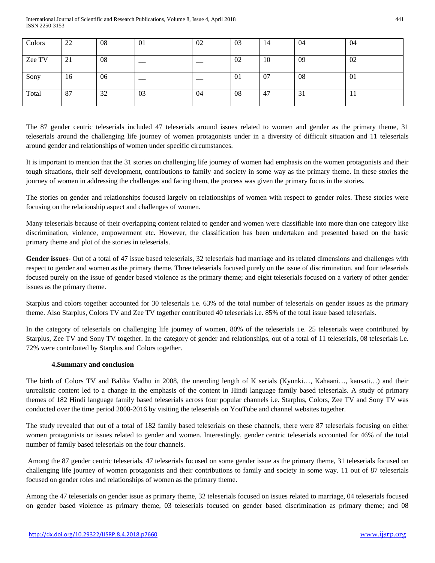| Colors | 22 | 08 | 01 | 02 | 03 | 14  | 04 | 04   |
|--------|----|----|----|----|----|-----|----|------|
| Zee TV | 21 | 08 |    |    | 02 | 10  | 09 | 02   |
| Sony   | 16 | 06 |    |    | 01 | -07 | 08 | 01   |
| Total  | 87 | 32 | 03 | 04 | 08 | 47  | 31 | -1-1 |

The 87 gender centric teleserials included 47 teleserials around issues related to women and gender as the primary theme, 31 teleserials around the challenging life journey of women protagonists under in a diversity of difficult situation and 11 teleserials around gender and relationships of women under specific circumstances.

It is important to mention that the 31 stories on challenging life journey of women had emphasis on the women protagonists and their tough situations, their self development, contributions to family and society in some way as the primary theme. In these stories the journey of women in addressing the challenges and facing them, the process was given the primary focus in the stories.

The stories on gender and relationships focused largely on relationships of women with respect to gender roles. These stories were focusing on the relationship aspect and challenges of women.

Many teleserials because of their overlapping content related to gender and women were classifiable into more than one category like discrimination, violence, empowerment etc. However, the classification has been undertaken and presented based on the basic primary theme and plot of the stories in teleserials.

Gender issues- Out of a total of 47 issue based teleserials, 32 teleserials had marriage and its related dimensions and challenges with respect to gender and women as the primary theme. Three teleserials focused purely on the issue of discrimination, and four teleserials focused purely on the issue of gender based violence as the primary theme; and eight teleserials focused on a variety of other gender issues as the primary theme.

Starplus and colors together accounted for 30 teleserials i.e. 63% of the total number of teleserials on gender issues as the primary theme. Also Starplus, Colors TV and Zee TV together contributed 40 teleserials i.e. 85% of the total issue based teleserials.

In the category of teleserials on challenging life journey of women, 80% of the teleserials i.e. 25 teleserials were contributed by Starplus, Zee TV and Sony TV together. In the category of gender and relationships, out of a total of 11 teleserials, 08 teleserials i.e. 72% were contributed by Starplus and Colors together.

## **4.Summary and conclusion**

The birth of Colors TV and Balika Vadhu in 2008, the unending length of K serials (Kyunki…, Kahaani…, kausati…) and their unrealistic content led to a change in the emphasis of the content in Hindi language family based teleserials. A study of primary themes of 182 Hindi language family based teleserials across four popular channels i.e. Starplus, Colors, Zee TV and Sony TV was conducted over the time period 2008-2016 by visiting the teleserials on YouTube and channel websites together.

The study revealed that out of a total of 182 family based teleserials on these channels, there were 87 teleserials focusing on either women protagonists or issues related to gender and women. Interestingly, gender centric teleserials accounted for 46% of the total number of family based teleserials on the four channels.

Among the 87 gender centric teleserials, 47 teleserials focused on some gender issue as the primary theme, 31 teleserials focused on challenging life journey of women protagonists and their contributions to family and society in some way. 11 out of 87 teleserials focused on gender roles and relationships of women as the primary theme.

Among the 47 teleserials on gender issue as primary theme, 32 teleserials focused on issues related to marriage, 04 teleserials focused on gender based violence as primary theme, 03 teleserials focused on gender based discrimination as primary theme; and 08